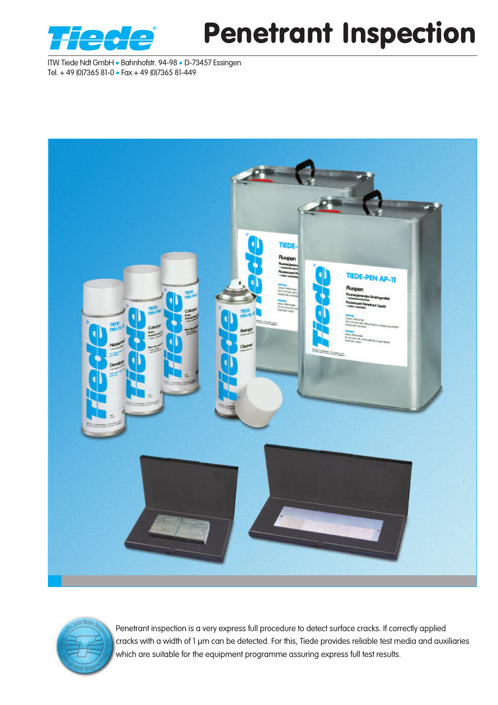

# Penetrant Inspection

ITW Tiede Ndt GmbH • Bahnhofstr. 94-98 • D-73457 Essingen Tel. + 49 (0)7365 81-0 • Fax + 49 (0)7365 81-449





Penetrant inspection is a very express full procedure to detect surface cracks. If correctly applied cracks with a width of 1 μm can be detected. For this, Tiede provides reliable test media and auxiliaries which are suitable for the equipment programme assuring express full test results.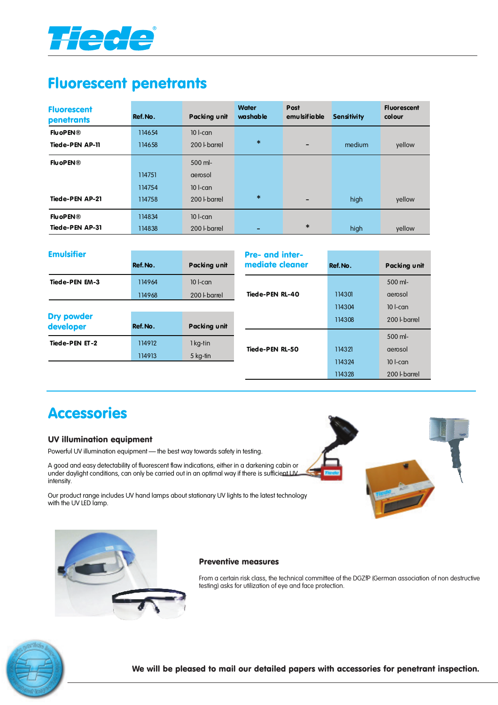

## Fluorescent penetrants

| <b>Fluorescent</b><br>penetrants | Ref. No. | Packing unit | <b>Water</b><br>washable | Post<br>emu Isifia ble | <b>Sensitivity</b> | <b>Fluorescent</b><br>colour |
|----------------------------------|----------|--------------|--------------------------|------------------------|--------------------|------------------------------|
| <b>FluoPEN®</b>                  | 114654   | $10$ l-can   |                          |                        |                    |                              |
| <b>Tiede-PEN AP-11</b>           | 114658   | 200 L barrel | $\ast$                   |                        | medium             | yellow                       |
| <b>FluoPEN®</b>                  |          | 500 ml-      |                          |                        |                    |                              |
|                                  | 114751   | derosol      |                          |                        |                    |                              |
|                                  | 114754   | $10$ l-can   |                          |                        |                    |                              |
| <b>Tiede-PEN AP-21</b>           | 114758   | 200 L barrel | $\ast$                   |                        | high               | yellow                       |
| <b>FluoPEN®</b>                  | 114834   | $10$ l-can   |                          |                        |                    |                              |
| <b>Tiede-PEN AP-31</b>           | 114838   | 200 L barrel |                          | $\ast$                 | high               | yellow                       |

| <b>Emulsifier</b>              |          |              | <b>Pre- and inter-</b> |          |              |
|--------------------------------|----------|--------------|------------------------|----------|--------------|
|                                | Ref. No. | Packing unit | mediate cleaner        | Ref. No. | Packing unit |
| <b>Tiede-PEN EM-3</b>          | 114964   | $10$ l-can   |                        |          | $500$ ml-    |
|                                | 114968   | 200   barrel | <b>Tiede-PEN RL-40</b> | 114301   | derosol      |
|                                |          |              |                        | 114304   | $10$ -can    |
| <b>Dry powder</b><br>developer | Ref. No. | Packing unit |                        | 114308   | 200 L barrel |
|                                |          |              |                        |          | 500 ml-      |
| Tiede-PEN ET-2                 | 114912   | 1 kg-tin     | Tiede-PEN RL-50        | 114321   | aerosol      |
|                                | 114913   | 5 kg-tin     |                        | 114324   | $10$ -can    |
|                                |          |              |                        | 114328   | 200 L barrel |

## Accessories

### UV illumination equipment

Powerful UV illumination equipment - the best way towards safety in testing.

A good and easy detectability of fluorescent flaw indications, either in a darkening cabin or under daylight conditions, can only be carried out in an optimal way if there is sufficient UV intensity.

Our product range includes UV hand lamps about stationary UV lights to the latest technology with the UV LED lamp.





#### Preventive measures

From a certain risk class, the technical committee of the DGZfP (German association of non destructive testing) asks for utilization of eye and face protection.

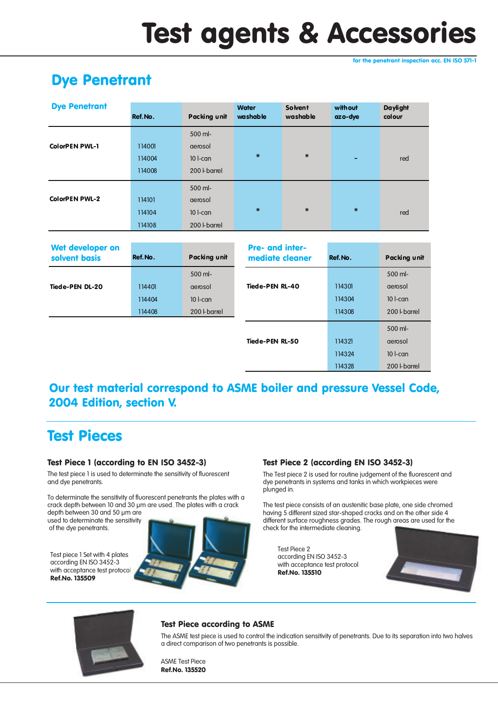# Test agents & Accessories

for the penetrant inspection acc. EN ISO 571-1

## Dye Penetrant

| 500 ml-<br><b>ColorPEN PWL-1</b><br>114001<br>aerosol     |  |
|-----------------------------------------------------------|--|
|                                                           |  |
|                                                           |  |
| $\ast$<br>$\ast$<br>$10$ l-can<br>114004<br>red<br>-      |  |
| 200   barrel<br>114008                                    |  |
| 500 ml-                                                   |  |
| <b>ColorPEN PWL-2</b><br>114101<br>aerosol                |  |
| $\ast$<br>$\ast$<br>$\ast$<br>$10$ l-can<br>114104<br>red |  |
| 200   barrel<br>114108                                    |  |

| Wet developer on<br>solvent basis | Ref.No. | Packing unit       | <b>Pre- and inter-</b><br>mediate cleaner | Ref.No. | Packing unit |
|-----------------------------------|---------|--------------------|-------------------------------------------|---------|--------------|
|                                   |         | 500 ml-            |                                           |         | 500 ml-      |
| Tiede-PEN DL-20                   | 114401  | aerosol            | <b>Tiede-PEN RL-40</b>                    | 114301  | aerosol      |
|                                   | 114404  | $10$ l-can         |                                           | 114304  | $10$ l-can   |
|                                   | 114408  | 200 <b>Lbarrel</b> |                                           | 114308  | 200   barrel |
|                                   |         |                    |                                           |         | 500 ml-      |
|                                   |         |                    | Tiede-PEN RL-50                           | 114321  | aerosol      |
|                                   |         |                    |                                           | 114324  | $10$ l-can   |
|                                   |         |                    |                                           | 114328  | 200 L barrel |

### Our test material correspond to ASME boiler and pressure Vessel Code, 2004 Edition, section V.

## Test Pieces

### Test Piece 1 (according to EN ISO 3452-3)

The test piece 1 is used to determinate the sensitivity of fluorescent and dye penetrants.

To determinate the sensitivity of fluorescent penetrants the plates with a crack depth between 10 and 30 µm are used. The plates with a crack depth between 30 and 50 µm are

used to determinate the sensitivity of the dye penetrants.

Test piece 1 Set with 4 plates according EN ISO 3452-3 with acceptance test protoco Ref.No. 135509



### Test Piece 2 (according EN ISO 3452-3)

The Test piece 2 is used for routine judgement of the fluorescent and dye penetrants in systems and tanks in which workpieces were plunged in.

The test piece consists of an austenitic base plate, one side chromed having 5 different sized star-shaped cracks and on the other side 4 different surface roughness grades. The rough areas are used for the check for the intermediate cleaning.

Test Piece 2 according EN ISO 3452-3 with acceptance test protocol Ref.No. 135510





### Test Piece according to ASME

The ASME test piece is used to control the indication sensitivity of penetrants. Due to its separation into two halves a direct comparison of two penetrants is possible.

#### ASME Test Piece Ref.No. 135520